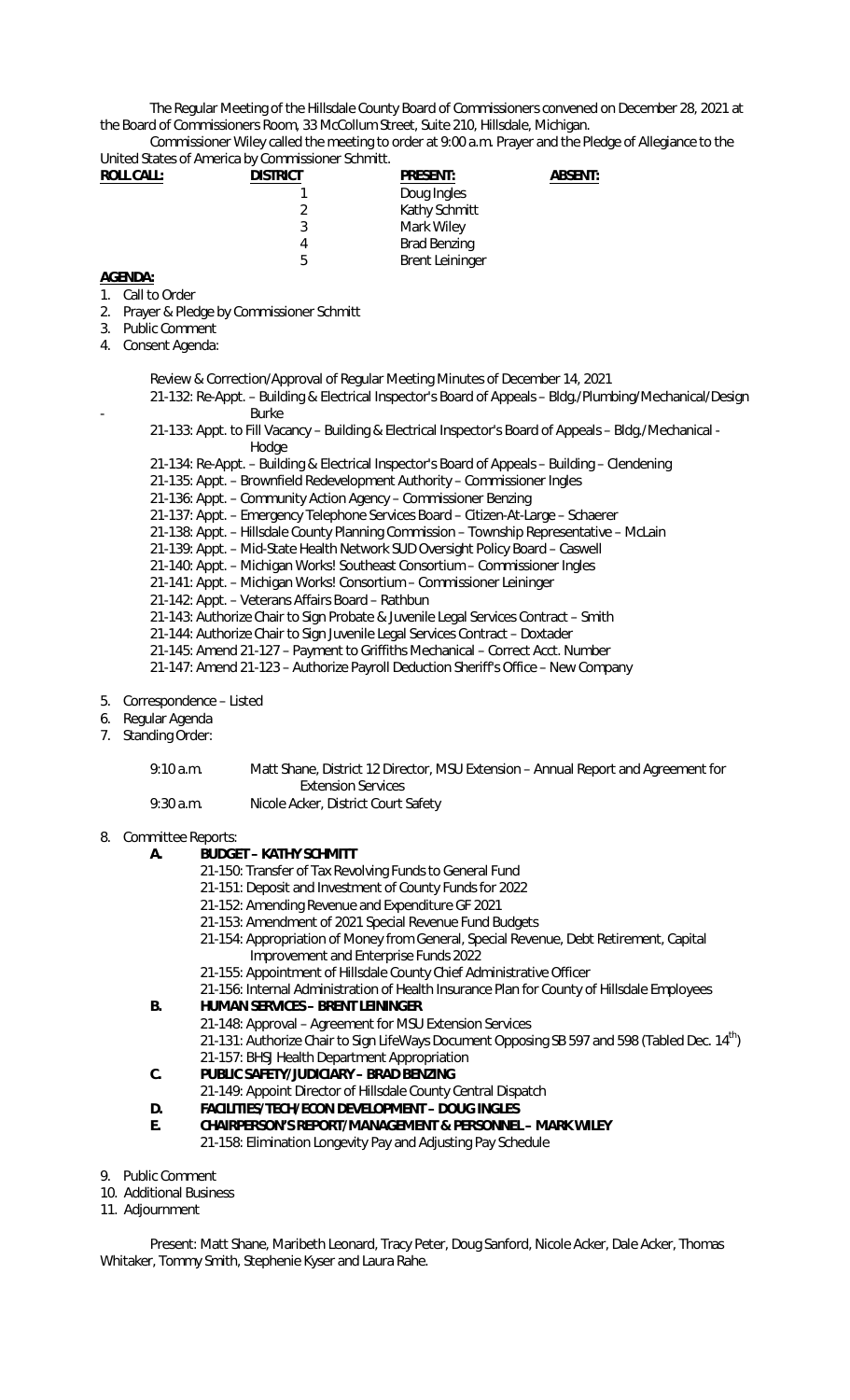The Regular Meeting of the Hillsdale County Board of Commissioners convened on December 28, 2021 at the Board of Commissioners Room, 33 McCollum Street, Suite 210, Hillsdale, Michigan.

Commissioner Wiley called the meeting to order at 9:00 a.m. Prayer and the Pledge of Allegiance to the United States of America by Commissioner Schmitt.

| <b>ROLL CALL:</b> | <b>DISTRICT</b> | <b>PRESENT:</b>        | <b>ABSENT:</b> |
|-------------------|-----------------|------------------------|----------------|
|                   |                 | Doug Ingles            |                |
|                   | 2               | Kathy Schmitt          |                |
|                   | 3               | Mark Wiley             |                |
|                   | 4               | <b>Brad Benzing</b>    |                |
|                   | 5               | <b>Brent Leininger</b> |                |
|                   |                 |                        |                |

## **AGENDA:**

- 1. Call to Order
- 2. Prayer & Pledge by Commissioner Schmitt
- 3. Public Comment
- 4. Consent Agenda:
	- Review & Correction/Approval of Regular Meeting Minutes of December 14, 2021
	- 21-132: Re-Appt. Building & Electrical Inspector's Board of Appeals Bldg./Plumbing/Mechanical/Design **Burke**
	- 21-133: Appt. to Fill Vacancy Building & Electrical Inspector's Board of Appeals Bldg./Mechanical Hodge
	- 21-134: Re-Appt. Building & Electrical Inspector's Board of Appeals Building Clendening
	- 21-135: Appt. Brownfield Redevelopment Authority Commissioner Ingles
	- 21-136: Appt. Community Action Agency Commissioner Benzing
	- 21-137: Appt. Emergency Telephone Services Board Citizen-At-Large Schaerer
	- 21-138: Appt. Hillsdale County Planning Commission Township Representative McLain
	- 21-139: Appt. Mid-State Health Network SUD Oversight Policy Board Caswell
	- 21-140: Appt. Michigan Works! Southeast Consortium Commissioner Ingles
	- 21-141: Appt. Michigan Works! Consortium Commissioner Leininger
	- 21-142: Appt. Veterans Affairs Board Rathbun
	- 21-143: Authorize Chair to Sign Probate & Juvenile Legal Services Contract Smith
	- 21-144: Authorize Chair to Sign Juvenile Legal Services Contract Doxtader
	- 21-145: Amend 21-127 Payment to Griffiths Mechanical Correct Acct. Number
	- 21-147: Amend 21-123 Authorize Payroll Deduction Sheriff's Office New Company
- 5. Correspondence Listed
- 6. Regular Agenda
- 7. Standing Order:

| 9:10 a.m.   | Matt Shane, District 12 Director, MSU Extension – Annual Report and Agreement for |
|-------------|-----------------------------------------------------------------------------------|
|             | Extension Services                                                                |
| $9:30$ a.m. | Nicole Acker, District Court Safety                                               |

8. Committee Reports:

## **A. BUDGET – KATHY SCHMITT**

- 21-150: Transfer of Tax Revolving Funds to General Fund
- 21-151: Deposit and Investment of County Funds for 2022
- 21-152: Amending Revenue and Expenditure GF 2021
- 21-153: Amendment of 2021 Special Revenue Fund Budgets
- 21-154: Appropriation of Money from General, Special Revenue, Debt Retirement, Capital Improvement and Enterprise Funds 2022
- 21-155: Appointment of Hillsdale County Chief Administrative Officer
- 21-156: Internal Administration of Health Insurance Plan for County of Hillsdale Employees

## **B. HUMAN SERVICES – BRENT LEININGER**

- 21-148: Approval Agreement for MSU Extension Services 21-131: Authorize Chair to Sign LifeWays Document Opposing SB 597 and 598 (Tabled Dec. 14<sup>th</sup>) 21-157: BHSJ Health Department Appropriation
- **C. PUBLIC SAFETY/JUDICIARY BRAD BENZING** 
	- 21-149: Appoint Director of Hillsdale County Central Dispatch
- **D. FACILITIES/TECH/ECON DEVELOPMENT DOUG INGLES**
- **E. CHAIRPERSON'S REPORT/MANAGEMENT & PERSONNEL MARK WILEY**  21-158: Elimination Longevity Pay and Adjusting Pay Schedule
- 9. Public Comment
- 10. Additional Business
- 11. Adjournment

Present: Matt Shane, Maribeth Leonard, Tracy Peter, Doug Sanford, Nicole Acker, Dale Acker, Thomas Whitaker, Tommy Smith, Stephenie Kyser and Laura Rahe.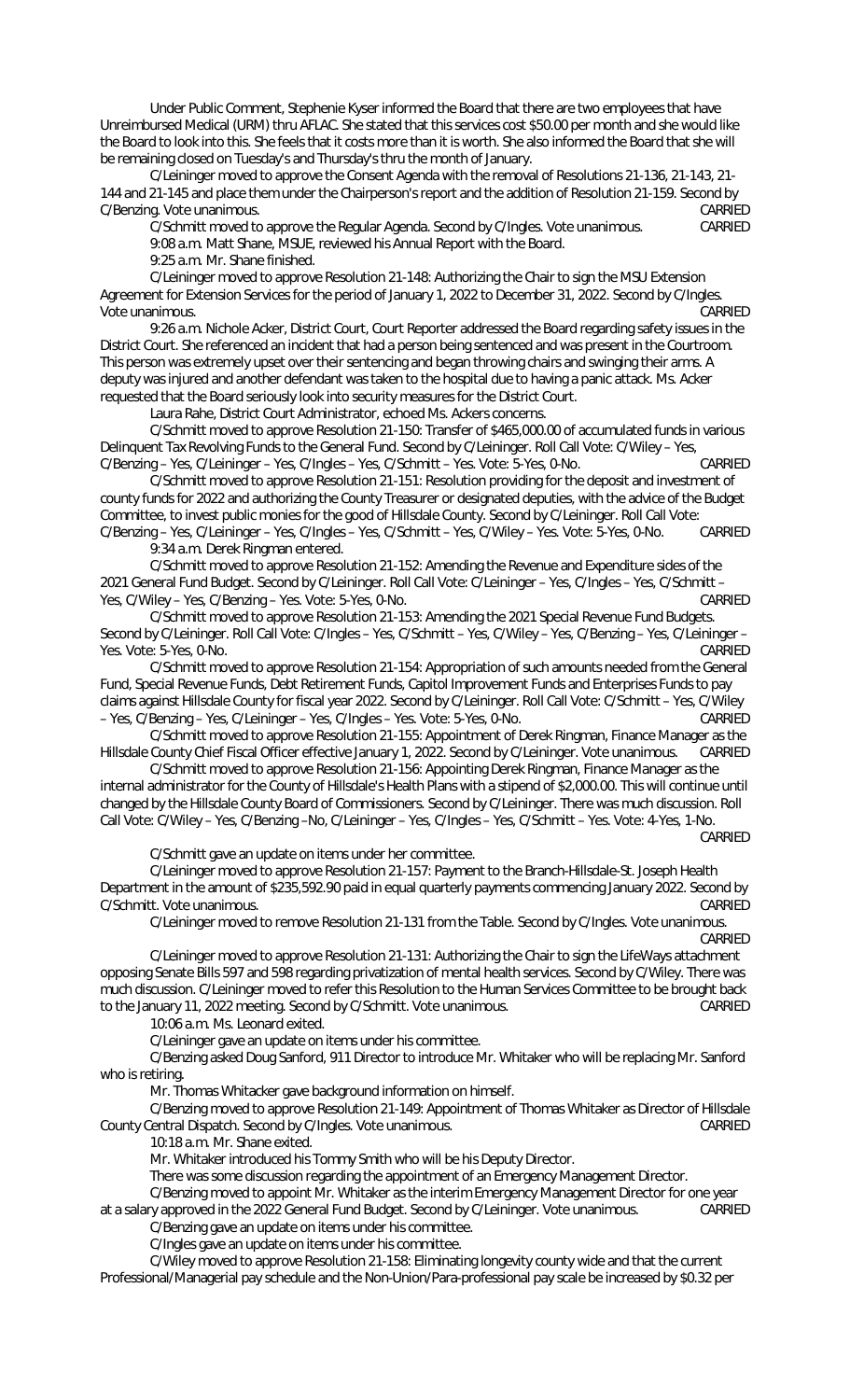Under Public Comment, Stephenie Kyser informed the Board that there are two employees that have Unreimbursed Medical (URM) thru AFLAC. She stated that this services cost \$50.00 per month and she would like the Board to look into this. She feels that it costs more than it is worth. She also informed the Board that she will be remaining closed on Tuesday's and Thursday's thru the month of January.

C/Leininger moved to approve the Consent Agenda with the removal of Resolutions 21-136, 21-143, 21- 144 and 21-145 and place them under the Chairperson's report and the addition of Resolution 21-159. Second by C/Benzing. Vote unanimous. CARRIED

C/Schmitt moved to approve the Regular Agenda. Second by C/Ingles. Vote unanimous. CARRIED 9:08 a.m. Matt Shane, MSUE, reviewed his Annual Report with the Board.

9:25 a.m. Mr. Shane finished.

C/Leininger moved to approve Resolution 21-148: Authorizing the Chair to sign the MSU Extension Agreement for Extension Services for the period of January 1, 2022 to December 31, 2022. Second by C/Ingles. Vote unanimous. CARRIED

9:26 a.m. Nichole Acker, District Court, Court Reporter addressed the Board regarding safety issues in the District Court. She referenced an incident that had a person being sentenced and was present in the Courtroom. This person was extremely upset over their sentencing and began throwing chairs and swinging their arms. A deputy was injured and another defendant was taken to the hospital due to having a panic attack. Ms. Acker requested that the Board seriously look into security measures for the District Court.

Laura Rahe, District Court Administrator, echoed Ms. Ackers concerns.

C/Schmitt moved to approve Resolution 21-150: Transfer of \$465,000.00 of accumulated funds in various Delinquent Tax Revolving Funds to the General Fund. Second by C/Leininger. Roll Call Vote: C/Wiley – Yes,<br>C/Benzing – Yes, C/Leininger – Yes, C/Ingles – Yes, C/Schmitt – Yes, Vote: 5-Yes, 0-No. (2008) C/Benzing – Yes, C/Leininger – Yes, C/Ingles – Yes, C/Schmitt – Yes. Vote: 5-Yes, 0-No.

C/Schmitt moved to approve Resolution 21-151: Resolution providing for the deposit and investment of county funds for 2022 and authorizing the County Treasurer or designated deputies, with the advice of the Budget Committee, to invest public monies for the good of Hillsdale County. Second by C/Leininger. Roll Call Vote:

C/Benzing – Yes, C/Leininger – Yes, C/Ingles – Yes, C/Schmitt – Yes, C/Wiley – Yes. Vote: 5-Yes, 0-No. CARRIED 9:34 a.m. Derek Ringman entered.

C/Schmitt moved to approve Resolution 21-152: Amending the Revenue and Expenditure sides of the 2021 General Fund Budget. Second by C/Leininger. Roll Call Vote: C/Leininger – Yes, C/Ingles – Yes, C/Schmitt – Yes, C/Wiley – Yes, C/Benzing – Yes. Vote: 5-Yes, 0-No. CARRIED

C/Schmitt moved to approve Resolution 21-153: Amending the 2021 Special Revenue Fund Budgets. Second by C/Leininger. Roll Call Vote: C/Ingles – Yes, C/Schmitt – Yes, C/Wiley – Yes, C/Benzing – Yes, C/Leininger – Yes. Vote: 5-Yes, 0-No. CARRIED

C/Schmitt moved to approve Resolution 21-154: Appropriation of such amounts needed from the General Fund, Special Revenue Funds, Debt Retirement Funds, Capitol Improvement Funds and Enterprises Funds to pay claims against Hillsdale County for fiscal year 2022. Second by C/Leininger. Roll Call Vote: C/Schmitt – Yes, C/Wiley – Yes, C/Benzing – Yes, C/Leininger – Yes, C/Ingles – Yes. Vote: 5-Yes, 0-No. CARRIED

C/Schmitt moved to approve Resolution 21-155: Appointment of Derek Ringman, Finance Manager as the Hillsdale County Chief Fiscal Officer effective January 1, 2022. Second by C/Leininger. Vote unanimous. CARRIED

C/Schmitt moved to approve Resolution 21-156: Appointing Derek Ringman, Finance Manager as the internal administrator for the County of Hillsdale's Health Plans with a stipend of \$2,000.00. This will continue until changed by the Hillsdale County Board of Commissioners. Second by C/Leininger. There was much discussion. Roll Call Vote: C/Wiley – Yes, C/Benzing –No, C/Leininger – Yes, C/Ingles – Yes, C/Schmitt – Yes. Vote: 4-Yes, 1-No.

CARRIED

C/Schmitt gave an update on items under her committee.

C/Leininger moved to approve Resolution 21-157: Payment to the Branch-Hillsdale-St. Joseph Health Department in the amount of \$235,592.90 paid in equal quarterly payments commencing January 2022. Second by C/Schmitt. Vote unanimous. CARRIED

C/Leininger moved to remove Resolution 21-131 from the Table. Second by C/Ingles. Vote unanimous. CARRIED

C/Leininger moved to approve Resolution 21-131: Authorizing the Chair to sign the LifeWays attachment opposing Senate Bills 597 and 598 regarding privatization of mental health services. Second by C/Wiley. There was much discussion. C/Leininger moved to refer this Resolution to the Human Services Committee to be brought back to the January 11, 2022 meeting. Second by C/Schmitt. Vote unanimous. CARRIED

10:06 a.m. Ms. Leonard exited.

C/Leininger gave an update on items under his committee.

C/Benzing asked Doug Sanford, 911 Director to introduce Mr. Whitaker who will be replacing Mr. Sanford who is retiring.

Mr. Thomas Whitacker gave background information on himself.

C/Benzing moved to approve Resolution 21-149: Appointment of Thomas Whitaker as Director of Hillsdale<br>Cartral Dispatch, Second by C/Ingles, Vote unanimous, County Central Dispatch. Second by C/Ingles. Vote unanimous.

10:18 a.m. Mr. Shane exited.

Mr. Whitaker introduced his Tommy Smith who will be his Deputy Director.

There was some discussion regarding the appointment of an Emergency Management Director.

C/Benzing moved to appoint Mr. Whitaker as the interim Emergency Management Director for one year at a salary approved in the 2022 General Fund Budget. Second by C/Leininger. Vote unanimous. CARRIED

C/Benzing gave an update on items under his committee.

C/Ingles gave an update on items under his committee.

C/Wiley moved to approve Resolution 21-158: Eliminating longevity county wide and that the current Professional/Managerial pay schedule and the Non-Union/Para-professional pay scale be increased by \$0.32 per